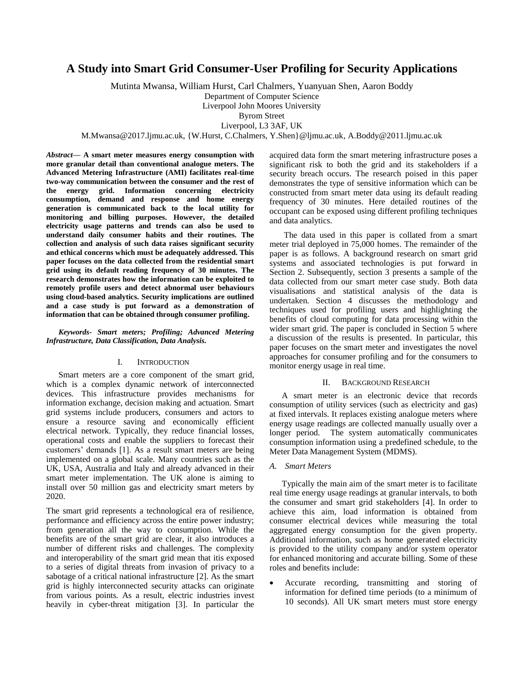# **A Study into Smart Grid Consumer-User Profiling for Security Applications**

Mutinta Mwansa, William Hurst, Carl Chalmers, Yuanyuan Shen, Aaron Boddy

Department of Computer Science

Liverpool John Moores University

Byrom Street

Liverpool, L3 3AF, UK

M.Mwansa@2017.ljmu.ac.uk, {W.Hurst, C.Chalmers, Y.Shen}@ljmu.ac.uk, A.Boddy@2011.ljmu.ac.uk

*Abstract***— A smart meter measures energy consumption with more granular detail than conventional analogue meters. The Advanced Metering Infrastructure (AMI) facilitates real-time two-way communication between the consumer and the rest of the energy grid. Information concerning electricity consumption, demand and response and home energy generation is communicated back to the local utility for monitoring and billing purposes. However, the detailed electricity usage patterns and trends can also be used to understand daily consumer habits and their routines. The collection and analysis of such data raises significant security and ethical concerns which must be adequately addressed. This paper focuses on the data collected from the residential smart grid using its default reading frequency of 30 minutes. The research demonstrates how the information can be exploited to remotely profile users and detect abnormal user behaviours using cloud-based analytics. Security implications are outlined and a case study is put forward as a demonstration of information that can be obtained through consumer profiling.**

*Keywords- Smart meters; Profiling; Advanced Metering Infrastructure, Data Classification, Data Analysis.*

# I. INTRODUCTION

Smart meters are a core component of the smart grid, which is a complex dynamic network of interconnected devices. This infrastructure provides mechanisms for information exchange, decision making and actuation. Smart grid systems include producers, consumers and actors to ensure a resource saving and economically efficient electrical network. Typically, they reduce financial losses, operational costs and enable the suppliers to forecast their customers' demands [1]. As a result smart meters are being implemented on a global scale. Many countries such as the UK, USA, Australia and Italy and already advanced in their smart meter implementation. The UK alone is aiming to install over 50 million gas and electricity smart meters by 2020.

The smart grid represents a technological era of resilience, performance and efficiency across the entire power industry; from generation all the way to consumption. While the benefits are of the smart grid are clear, it also introduces a number of different risks and challenges. The complexity and interoperability of the smart grid mean that itis exposed to a series of digital threats from invasion of privacy to a sabotage of a critical national infrastructure [2]. As the smart grid is highly interconnected security attacks can originate from various points. As a result, electric industries invest heavily in cyber-threat mitigation [3]. In particular the acquired data form the smart metering infrastructure poses a significant risk to both the grid and its stakeholders if a security breach occurs. The research poised in this paper demonstrates the type of sensitive information which can be constructed from smart meter data using its default reading frequency of 30 minutes. Here detailed routines of the occupant can be exposed using different profiling techniques and data analytics.

The data used in this paper is collated from a smart meter trial deployed in 75,000 homes. The remainder of the paper is as follows. A background research on smart grid systems and associated technologies is put forward in Section 2. Subsequently, section 3 presents a sample of the data collected from our smart meter case study. Both data visualisations and statistical analysis of the data is undertaken. Section 4 discusses the methodology and techniques used for profiling users and highlighting the benefits of cloud computing for data processing within the wider smart grid. The paper is concluded in Section 5 where a discussion of the results is presented. In particular, this paper focuses on the smart meter and investigates the novel approaches for consumer profiling and for the consumers to monitor energy usage in real time.

### II. BACKGROUND RESEARCH

A smart meter is an electronic device that records consumption of utility services (such as electricity and gas) at fixed intervals. It replaces existing analogue meters where energy usage readings are collected manually usually over a longer period. The system automatically communicates consumption information using a predefined schedule, to the Meter Data Management System (MDMS).

### *A. Smart Meters*

Typically the main aim of the smart meter is to facilitate real time energy usage readings at granular intervals, to both the consumer and smart grid stakeholders [4]. In order to achieve this aim, load information is obtained from consumer electrical devices while measuring the total aggregated energy consumption for the given property. Additional information, such as home generated electricity is provided to the utility company and/or system operator for enhanced monitoring and accurate billing. Some of these roles and benefits include:

 Accurate recording, transmitting and storing of information for defined time periods (to a minimum of 10 seconds). All UK smart meters must store energy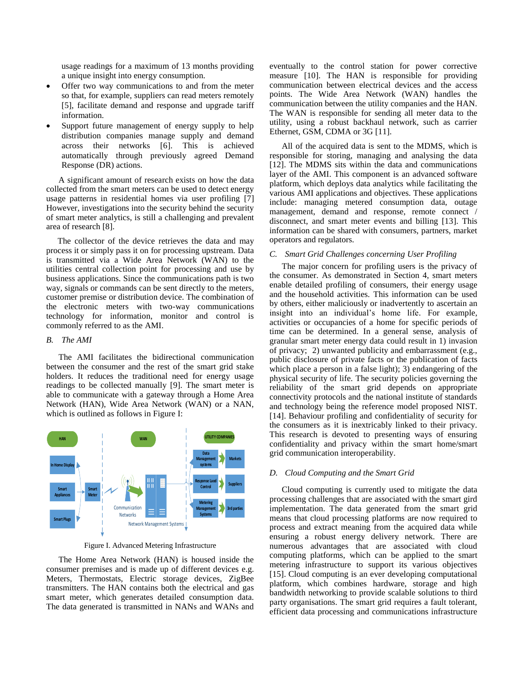usage readings for a maximum of 13 months providing a unique insight into energy consumption.

- Offer two way communications to and from the meter so that, for example, suppliers can read meters remotely [5], facilitate demand and response and upgrade tariff information.
- Support future management of energy supply to help distribution companies manage supply and demand across their networks [6]. This is achieved automatically through previously agreed Demand Response (DR) actions.

A significant amount of research exists on how the data collected from the smart meters can be used to detect energy usage patterns in residential homes via user profiling [7] However, investigations into the security behind the security of smart meter analytics, is still a challenging and prevalent area of research [8].

The collector of the device retrieves the data and may process it or simply pass it on for processing upstream. Data is transmitted via a Wide Area Network (WAN) to the utilities central collection point for processing and use by business applications. Since the communications path is two way, signals or commands can be sent directly to the meters, customer premise or distribution device. The combination of the electronic meters with two-way communications technology for information, monitor and control is commonly referred to as the AMI.

## *B. The AMI*

The AMI facilitates the bidirectional communication between the consumer and the rest of the smart grid stake holders. It reduces the traditional need for energy usage readings to be collected manually [9]. The smart meter is able to communicate with a gateway through a Home Area Network (HAN), Wide Area Network (WAN) or a NAN, which is outlined as follows in Figure I:



Figure I. Advanced Metering Infrastructure

The Home Area Network (HAN) is housed inside the consumer premises and is made up of different devices e.g. Meters, Thermostats, Electric storage devices, ZigBee transmitters. The HAN contains both the electrical and gas smart meter, which generates detailed consumption data. The data generated is transmitted in NANs and WANs and eventually to the control station for power corrective measure [10]. The HAN is responsible for providing communication between electrical devices and the access points. The Wide Area Network (WAN) handles the communication between the utility companies and the HAN. The WAN is responsible for sending all meter data to the utility, using a robust backhaul network, such as carrier Ethernet, GSM, CDMA or 3G [11].

All of the acquired data is sent to the MDMS, which is responsible for storing, managing and analysing the data [12]. The MDMS sits within the data and communications layer of the AMI. This component is an advanced software platform, which deploys data analytics while facilitating the various AMI applications and objectives. These applications include: managing metered consumption data, outage management, demand and response, remote connect / disconnect, and smart meter events and billing [13]. This information can be shared with consumers, partners, market operators and regulators.

### *C. Smart Grid Challenges concerning User Profiling*

The major concern for profiling users is the privacy of the consumer. As demonstrated in Section 4, smart meters enable detailed profiling of consumers, their energy usage and the household activities. This information can be used by others, either maliciously or inadvertently to ascertain an insight into an individual's home life. For example, activities or occupancies of a home for specific periods of time can be determined. In a general sense, analysis of granular smart meter energy data could result in 1) invasion of privacy; 2) unwanted publicity and embarrassment (e.g., public disclosure of private facts or the publication of facts which place a person in a false light); 3) endangering of the physical security of life. The security policies governing the reliability of the smart grid depends on appropriate connectivity protocols and the national institute of standards and technology being the reference model proposed NIST. [14]. Behaviour profiling and confidentiality of security for the consumers as it is inextricably linked to their privacy. This research is devoted to presenting ways of ensuring confidentiality and privacy within the smart home/smart grid communication interoperability.

#### *D. Cloud Computing and the Smart Grid*

Cloud computing is currently used to mitigate the data processing challenges that are associated with the smart gird implementation. The data generated from the smart grid means that cloud processing platforms are now required to process and extract meaning from the acquired data while ensuring a robust energy delivery network. There are numerous advantages that are associated with cloud computing platforms, which can be applied to the smart metering infrastructure to support its various objectives [15]. Cloud computing is an ever developing computational platform, which combines hardware, storage and high bandwidth networking to provide scalable solutions to third party organisations. The smart grid requires a fault tolerant, efficient data processing and communications infrastructure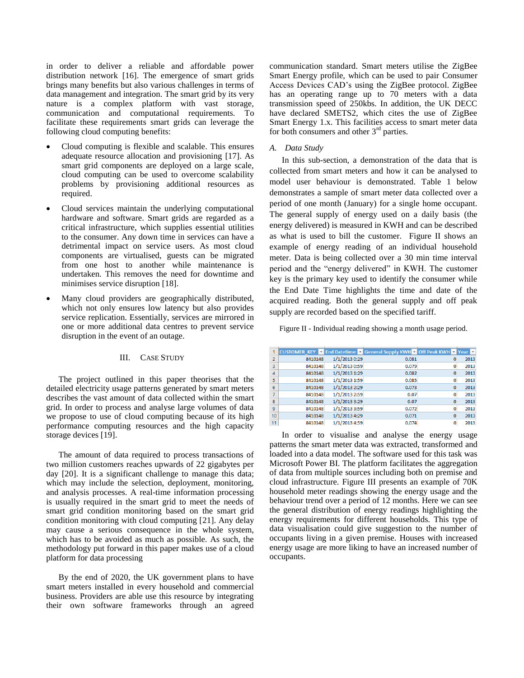in order to deliver a reliable and affordable power distribution network [16]. The emergence of smart grids brings many benefits but also various challenges in terms of data management and integration. The smart grid by its very nature is a complex platform with vast storage, communication and computational requirements. To facilitate these requirements smart grids can leverage the following cloud computing benefits:

- Cloud computing is flexible and scalable. This ensures adequate resource allocation and provisioning [17]. As smart grid components are deployed on a large scale, cloud computing can be used to overcome scalability problems by provisioning additional resources as required.
- Cloud services maintain the underlying computational hardware and software. Smart grids are regarded as a critical infrastructure, which supplies essential utilities to the consumer. Any down time in services can have a detrimental impact on service users. As most cloud components are virtualised, guests can be migrated from one host to another while maintenance is undertaken. This removes the need for downtime and minimises service disruption [18].
- Many cloud providers are geographically distributed, which not only ensures low latency but also provides service replication. Essentially, services are mirrored in one or more additional data centres to prevent service disruption in the event of an outage.

# III. CASE STUDY

The project outlined in this paper theorises that the detailed electricity usage patterns generated by smart meters describes the vast amount of data collected within the smart grid. In order to process and analyse large volumes of data we propose to use of cloud computing because of its high performance computing resources and the high capacity storage devices [19].

The amount of data required to process transactions of two million customers reaches upwards of 22 gigabytes per day [20]. It is a significant challenge to manage this data; which may include the selection, deployment, monitoring, and analysis processes. A real-time information processing is usually required in the smart grid to meet the needs of smart grid condition monitoring based on the smart grid condition monitoring with cloud computing [21]. Any delay may cause a serious consequence in the whole system, which has to be avoided as much as possible. As such, the methodology put forward in this paper makes use of a cloud platform for data processing

By the end of 2020, the UK government plans to have smart meters installed in every household and commercial business. Providers are able use this resource by integrating their own software frameworks through an agreed communication standard. Smart meters utilise the ZigBee Smart Energy profile, which can be used to pair Consumer Access Devices CAD's using the ZigBee protocol. ZigBee has an operating range up to 70 meters with a data transmission speed of 250kbs. In addition, the UK DECC have declared SMETS2, which cites the use of ZigBee Smart Energy 1.x. This facilities access to smart meter data for both consumers and other  $3<sup>rd</sup>$  parties.

#### *A. Data Study*

In this sub-section, a demonstration of the data that is collected from smart meters and how it can be analysed to model user behaviour is demonstrated. Table 1 below demonstrates a sample of smart meter data collected over a period of one month (January) for a single home occupant. The general supply of energy used on a daily basis (the energy delivered) is measured in KWH and can be described as what is used to bill the customer. Figure II shows an example of energy reading of an individual household meter. Data is being collected over a 30 min time interval period and the "energy delivered" in KWH. The customer key is the primary key used to identify the consumer while the End Date Time highlights the time and date of the acquired reading. Both the general supply and off peak supply are recorded based on the specified tariff.

Figure II - Individual reading showing a month usage period.

|                |         |               | CUSTOMER KEY T End Datetime T General Supply KWH T Off Peak KWH T Year T |          |      |
|----------------|---------|---------------|--------------------------------------------------------------------------|----------|------|
| $\overline{2}$ | 8410148 | 1/1/2013 0:29 | 0.081                                                                    | 0        | 2013 |
| 3              | 8410148 | 1/1/2013 0:59 | 0.079                                                                    | 0        | 2013 |
| $\overline{4}$ | 8410148 | 1/1/2013 1:29 | 0.082                                                                    | $\bf{0}$ | 2013 |
| 5              | 8410148 | 1/1/2013 1:59 | 0.085                                                                    | 0        | 2013 |
| 6              | 8410148 | 1/1/2013 2:29 | 0.073                                                                    | $\bf{0}$ | 2013 |
|                | 8410148 | 1/1/2013 2:59 | 0.07                                                                     | 0        | 2013 |
| 8              | 8410148 | 1/1/2013 3:29 | 0.07                                                                     | $\bf{0}$ | 2013 |
| 9              | 8410148 | 1/1/2013 3:59 | 0.072                                                                    | 0        | 2013 |
| 10             | 8410148 | 1/1/2013 4:29 | 0.071                                                                    | $\bf{0}$ | 2013 |
| 11             | 8410148 | 1/1/2013 4:59 | 0.074                                                                    | 0        | 2013 |

In order to visualise and analyse the energy usage patterns the smart meter data was extracted, transformed and loaded into a data model. The software used for this task was Microsoft Power BI. The platform facilitates the aggregation of data from multiple sources including both on premise and cloud infrastructure. Figure III presents an example of 70K household meter readings showing the energy usage and the behaviour trend over a period of 12 months. Here we can see the general distribution of energy readings highlighting the energy requirements for different households. This type of data visualisation could give suggestion to the number of occupants living in a given premise. Houses with increased energy usage are more liking to have an increased number of occupants.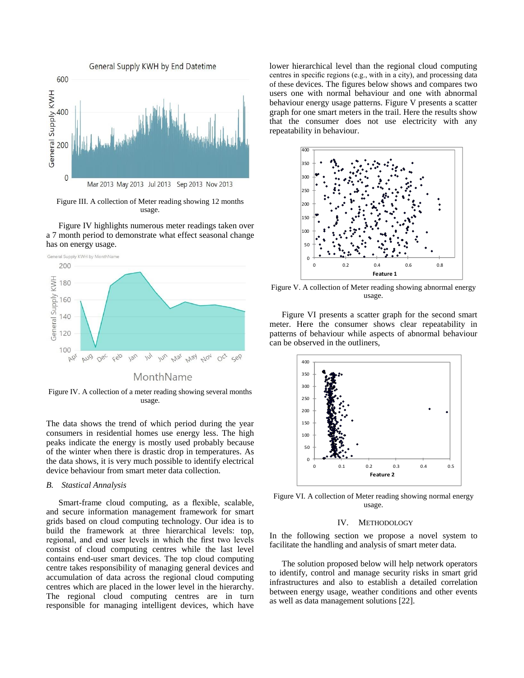

Figure III. A collection of Meter reading showing 12 months usage.

Figure IV highlights numerous meter readings taken over a 7 month period to demonstrate what effect seasonal change has on energy usage.



Figure IV. A collection of a meter reading showing several months usage.

The data shows the trend of which period during the year consumers in residential homes use energy less. The high peaks indicate the energy is mostly used probably because of the winter when there is drastic drop in temperatures. As the data shows, it is very much possible to identify electrical device behaviour from smart meter data collection.

#### *B. Stastical Annalysis*

Smart-frame cloud computing, as a flexible, scalable, and secure information management framework for smart grids based on cloud computing technology. Our idea is to build the framework at three hierarchical levels: top, regional, and end user levels in which the first two levels consist of cloud computing centres while the last level contains end-user smart devices. The top cloud computing centre takes responsibility of managing general devices and accumulation of data across the regional cloud computing centres which are placed in the lower level in the hierarchy. The regional cloud computing centres are in turn responsible for managing intelligent devices, which have lower hierarchical level than the regional cloud computing centres in specific regions (e.g., with in a city), and processing data of these devices. The figures below shows and compares two users one with normal behaviour and one with abnormal behaviour energy usage patterns. Figure V presents a scatter graph for one smart meters in the trail. Here the results show that the consumer does not use electricity with any repeatability in behaviour.



Figure V. A collection of Meter reading showing abnormal energy usage.

Figure VI presents a scatter graph for the second smart meter. Here the consumer shows clear repeatability in patterns of behaviour while aspects of abnormal behaviour can be observed in the outliners,



Figure VI. A collection of Meter reading showing normal energy usage.

#### IV. METHODOLOGY

In the following section we propose a novel system to facilitate the handling and analysis of smart meter data.

The solution proposed below will help network operators to identify, control and manage security risks in smart grid infrastructures and also to establish a detailed correlation between energy usage, weather conditions and other events as well as data management solutions [22].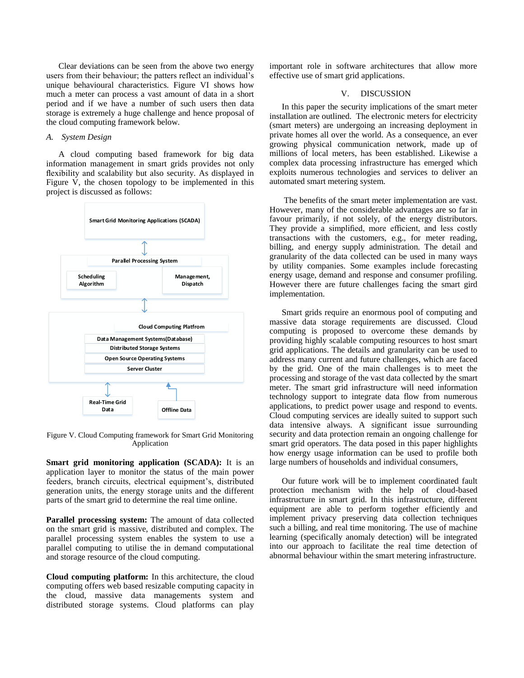Clear deviations can be seen from the above two energy users from their behaviour; the patters reflect an individual's unique behavioural characteristics. Figure VI shows how much a meter can process a vast amount of data in a short period and if we have a number of such users then data storage is extremely a huge challenge and hence proposal of the cloud computing framework below.

### *A. System Design*

A cloud computing based framework for big data information management in smart grids provides not only flexibility and scalability but also security. As displayed in Figure V, the chosen topology to be implemented in this project is discussed as follows:



Figure V. Cloud Computing framework for Smart Grid Monitoring Application

**Smart grid monitoring application (SCADA):** It is an application layer to monitor the status of the main power feeders, branch circuits, electrical equipment's, distributed generation units, the energy storage units and the different parts of the smart grid to determine the real time online.

**Parallel processing system:** The amount of data collected on the smart grid is massive, distributed and complex. The parallel processing system enables the system to use a parallel computing to utilise the in demand computational and storage resource of the cloud computing.

**Cloud computing platform:** In this architecture, the cloud computing offers web based resizable computing capacity in the cloud, massive data managements system and distributed storage systems. Cloud platforms can play important role in software architectures that allow more effective use of smart grid applications.

## V. DISCUSSION

In this paper the security implications of the smart meter installation are outlined. The electronic meters for electricity (smart meters) are undergoing an increasing deployment in private homes all over the world. As a consequence, an ever growing physical communication network, made up of millions of local meters, has been established. Likewise a complex data processing infrastructure has emerged which exploits numerous technologies and services to deliver an automated smart metering system.

The benefits of the smart meter implementation are vast. However, many of the considerable advantages are so far in favour primarily, if not solely, of the energy distributors. They provide a simplified, more efficient, and less costly transactions with the customers, e.g., for meter reading, billing, and energy supply administration. The detail and granularity of the data collected can be used in many ways by utility companies. Some examples include forecasting energy usage, demand and response and consumer profiling. However there are future challenges facing the smart gird implementation.

Smart grids require an enormous pool of computing and massive data storage requirements are discussed. Cloud computing is proposed to overcome these demands by providing highly scalable computing resources to host smart grid applications. The details and granularity can be used to address many current and future challenges, which are faced by the grid. One of the main challenges is to meet the processing and storage of the vast data collected by the smart meter. The smart grid infrastructure will need information technology support to integrate data flow from numerous applications, to predict power usage and respond to events. Cloud computing services are ideally suited to support such data intensive always. A significant issue surrounding security and data protection remain an ongoing challenge for smart grid operators. The data posed in this paper highlights how energy usage information can be used to profile both large numbers of households and individual consumers,

Our future work will be to implement coordinated fault protection mechanism with the help of cloud-based infrastructure in smart grid. In this infrastructure, different equipment are able to perform together efficiently and implement privacy preserving data collection techniques such a billing, and real time monitoring. The use of machine learning (specifically anomaly detection) will be integrated into our approach to facilitate the real time detection of abnormal behaviour within the smart metering infrastructure.